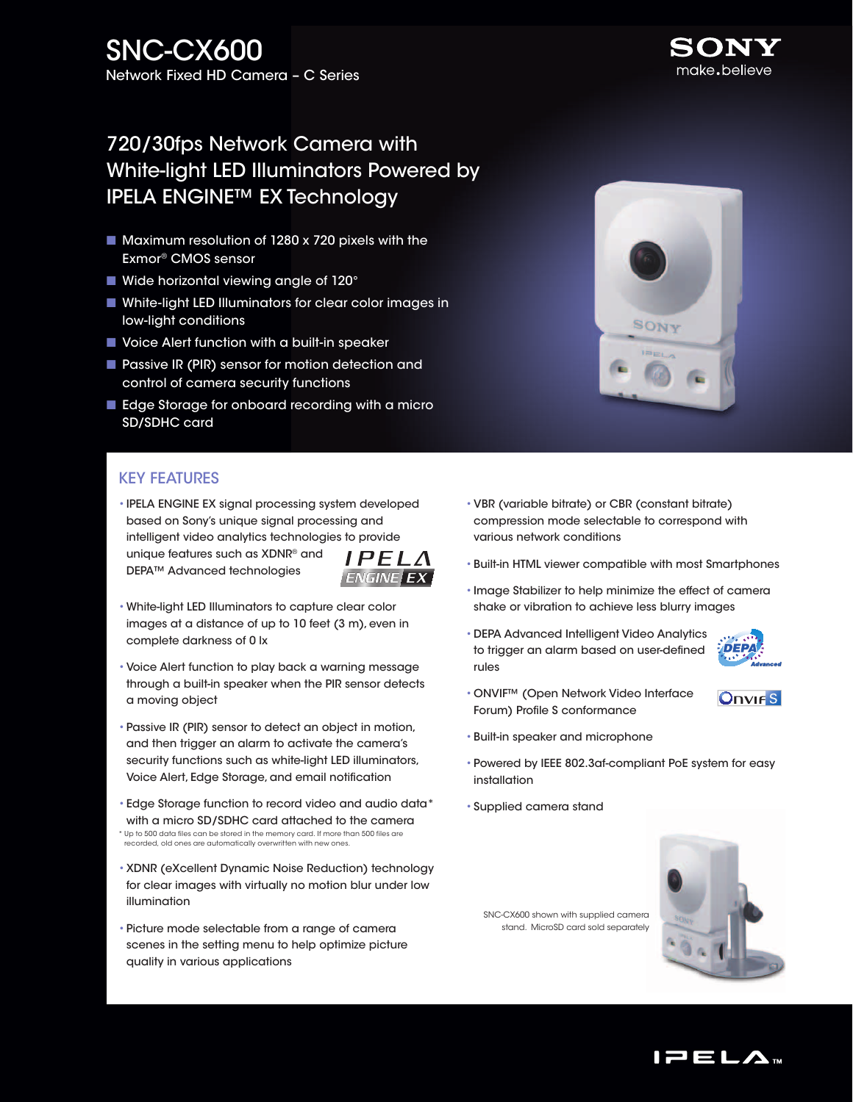# 720/30fps Network Camera with White-light LED Illuminators Powered by IPELA ENGINE™ EX Technology

- $\blacksquare$  Maximum resolution of 1280 x 720 pixels with the Exmor® CMOS sensor
- $\blacksquare$  Wide horizontal viewing angle of 120 $^\circ$
- White-light LED Illuminators for clear color images in low-light conditions
- Voice Alert function with a built-in speaker
- **n** Passive IR (PIR) sensor for motion detection and control of camera security functions
- Edge Storage for onboard recording with a micro SD/SDHC card

## Key Features

- •IPELA ENGINE EX signal processing system developed based on Sony's unique signal processing and intelligent video analytics technologies to provide unique features such as XDNR® and  $IPELA$ DEPA™ Advanced technologies **ENGINE EX**
- •White-light LED Illuminators to capture clear color images at a distance of up to 10 feet (3 m), even in complete darkness of 0 lx
- •Voice Alert function to play back a warning message through a built-in speaker when the PIR sensor detects a moving object
- •Passive IR (PIR) sensor to detect an object in motion, and then trigger an alarm to activate the camera's security functions such as white-light LED illuminators, Voice Alert, Edge Storage, and email notification
- •Edge Storage function to record video and audio data\* with a micro SD/SDHC card attached to the camera \* Up to 500 data files can be stored in the memory card. If more than 500 files are recorded, old ones are automatically overwritten with new ones.
- •XDNR (eXcellent Dynamic Noise Reduction) technology for clear images with virtually no motion blur under low illumination
- •Picture mode selectable from a range of camera scenes in the setting menu to help optimize picture quality in various applications
- •VBR (variable bitrate) or CBR (constant bitrate) compression mode selectable to correspond with various network conditions
- •Built-in HTML viewer compatible with most Smartphones
- •Image Stabilizer to help minimize the effect of camera shake or vibration to achieve less blurry images
- •DEPA Advanced Intelligent Video Analytics **DEPA** to trigger an alarm based on user-defined rules



- **Onvirs**
- •Built-in speaker and microphone
- •Powered by IEEE 802.3af-compliant PoE system for easy installation
- •Supplied camera stand

SNC-CX600 shown with supplied camera stand. MicroSD card sold separately